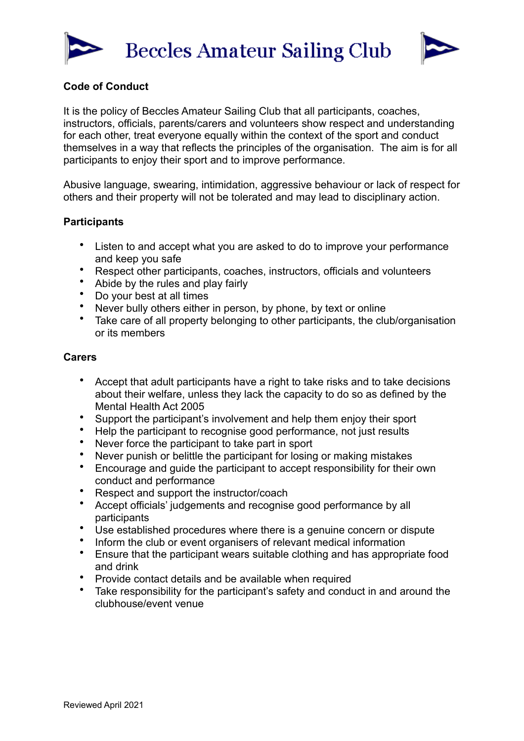



## **Code of Conduct**

It is the policy of Beccles Amateur Sailing Club that all participants, coaches, instructors, officials, parents/carers and volunteers show respect and understanding for each other, treat everyone equally within the context of the sport and conduct themselves in a way that reflects the principles of the organisation. The aim is for all participants to enjoy their sport and to improve performance.

Abusive language, swearing, intimidation, aggressive behaviour or lack of respect for others and their property will not be tolerated and may lead to disciplinary action.

## **Participants**

- Listen to and accept what you are asked to do to improve your performance and keep you safe
- Respect other participants, coaches, instructors, officials and volunteers
- Abide by the rules and play fairly<br>• Do your best at all times
- Do your best at all times
- Never bully others either in person, by phone, by text or online
- Take care of all property belonging to other participants, the club/organisation or its members

## **Carers**

- Accept that adult participants have a right to take risks and to take decisions about their welfare, unless they lack the capacity to do so as defined by the Mental Health Act 2005
- Support the participant's involvement and help them enjoy their sport<br>• Help the participant to recognise good performance, not just results
- Help the participant to recognise good performance, not just results
- Never force the participant to take part in sport
- Never punish or belittle the participant for losing or making mistakes
- Encourage and guide the participant to accept responsibility for their own conduct and performance
- Respect and support the instructor/coach<br>• Accent officials' judgements and recognise
- Accept officials' judgements and recognise good performance by all participants
- Use established procedures where there is a genuine concern or dispute
- Inform the club or event organisers of relevant medical information
- Ensure that the participant wears suitable clothing and has appropriate food and drink
- Provide contact details and be available when required
- Take responsibility for the participant's safety and conduct in and around the clubhouse/event venue